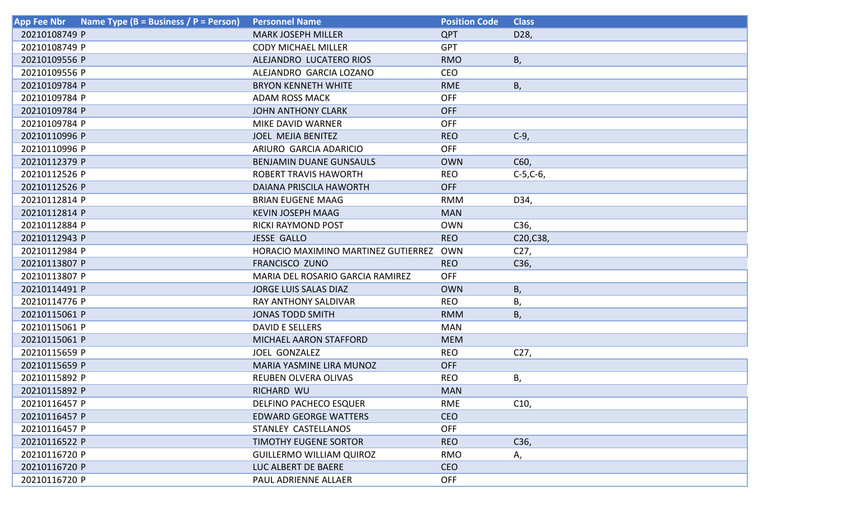| Name Type (B = Business / P = Person)<br><b>App Fee Nbr</b> | <b>Personnel Name</b>               | <b>Position Code</b> | <b>Class</b>    |
|-------------------------------------------------------------|-------------------------------------|----------------------|-----------------|
| 20210108749 P                                               | <b>MARK JOSEPH MILLER</b>           | <b>QPT</b>           | D28,            |
| 20210108749 P                                               | <b>CODY MICHAEL MILLER</b>          | <b>GPT</b>           |                 |
| 20210109556 P                                               | ALEJANDRO LUCATERO RIOS             | <b>RMO</b>           | В,              |
| 20210109556 P                                               | ALEJANDRO GARCIA LOZANO             | <b>CEO</b>           |                 |
| 20210109784 P                                               | <b>BRYON KENNETH WHITE</b>          | <b>RME</b>           | B,              |
| 20210109784 P                                               | <b>ADAM ROSS MACK</b>               | <b>OFF</b>           |                 |
| 20210109784 P                                               | <b>JOHN ANTHONY CLARK</b>           | <b>OFF</b>           |                 |
| 20210109784 P                                               | MIKE DAVID WARNER                   | <b>OFF</b>           |                 |
| 20210110996 P                                               | <b>JOEL MEJIA BENITEZ</b>           | <b>REO</b>           | $C-9$ ,         |
| 20210110996 P                                               | ARIURO GARCIA ADARICIO              | <b>OFF</b>           |                 |
| 20210112379 P                                               | <b>BENJAMIN DUANE GUNSAULS</b>      | <b>OWN</b>           | C60,            |
| 20210112526 P                                               | ROBERT TRAVIS HAWORTH               | <b>REO</b>           | $C-5, C-6,$     |
| 20210112526 P                                               | DAIANA PRISCILA HAWORTH             | <b>OFF</b>           |                 |
| 20210112814 P                                               | <b>BRIAN EUGENE MAAG</b>            | <b>RMM</b>           | D34,            |
| 20210112814 P                                               | <b>KEVIN JOSEPH MAAG</b>            | <b>MAN</b>           |                 |
| 20210112884 P                                               | <b>RICKI RAYMOND POST</b>           | <b>OWN</b>           | C36,            |
| 20210112943 P                                               | <b>JESSE GALLO</b>                  | <b>REO</b>           | C20,C38,        |
| 20210112984 P                                               | HORACIO MAXIMINO MARTINEZ GUTIERREZ | OWN                  | C <sub>27</sub> |
| 20210113807 P                                               | <b>FRANCISCO ZUNO</b>               | <b>REO</b>           | C36,            |
| 20210113807 P                                               | MARIA DEL ROSARIO GARCIA RAMIREZ    | <b>OFF</b>           |                 |
| 20210114491 P                                               | <b>JORGE LUIS SALAS DIAZ</b>        | <b>OWN</b>           | B,              |
| 20210114776 P                                               | RAY ANTHONY SALDIVAR                | <b>REO</b>           | Β,              |
| 20210115061 P                                               | <b>JONAS TODD SMITH</b>             | <b>RMM</b>           | В,              |
| 20210115061 P                                               | <b>DAVID E SELLERS</b>              | <b>MAN</b>           |                 |
| 20210115061 P                                               | MICHAEL AARON STAFFORD              | <b>MEM</b>           |                 |
| 20210115659 P                                               | JOEL GONZALEZ                       | <b>REO</b>           | C <sub>27</sub> |
| 20210115659 P                                               | MARIA YASMINE LIRA MUNOZ            | <b>OFF</b>           |                 |
| 20210115892 P                                               | <b>REUBEN OLVERA OLIVAS</b>         | <b>REO</b>           | В,              |
| 20210115892 P                                               | RICHARD WU                          | <b>MAN</b>           |                 |
| 20210116457 P                                               | <b>DELFINO PACHECO ESQUER</b>       | <b>RME</b>           | C10,            |
| 20210116457 P                                               | <b>EDWARD GEORGE WATTERS</b>        | <b>CEO</b>           |                 |
| 20210116457 P                                               | <b>STANLEY CASTELLANOS</b>          | <b>OFF</b>           |                 |
| 20210116522 P                                               | <b>TIMOTHY EUGENE SORTOR</b>        | <b>REO</b>           | C36,            |
| 20210116720 P                                               | <b>GUILLERMO WILLIAM QUIROZ</b>     | <b>RMO</b>           | А,              |
| 20210116720 P                                               | LUC ALBERT DE BAERE                 | <b>CEO</b>           |                 |
| 20210116720 P                                               | PAUL ADRIENNE ALLAER                | <b>OFF</b>           |                 |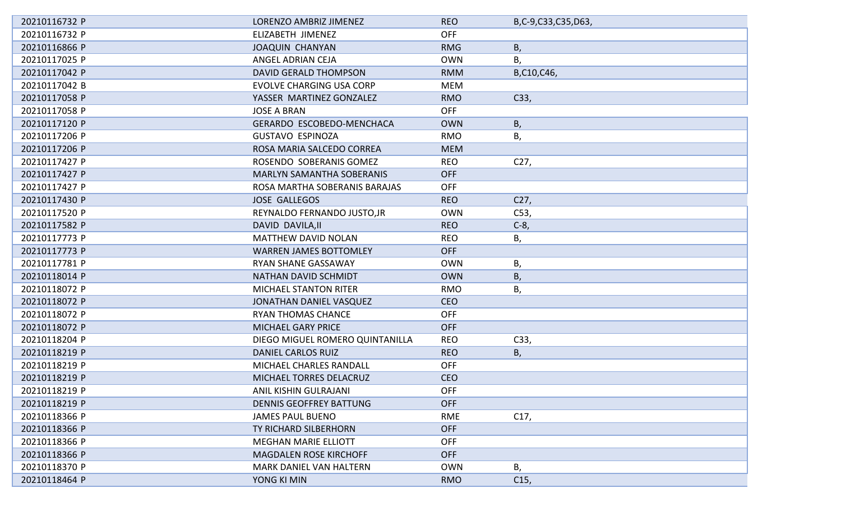| 20210116732 P | LORENZO AMBRIZ JIMENEZ           | <b>REO</b> | B,C-9,C33,C35,D63, |
|---------------|----------------------------------|------------|--------------------|
| 20210116732 P | ELIZABETH JIMENEZ                | <b>OFF</b> |                    |
| 20210116866 P | <b>JOAQUIN CHANYAN</b>           | <b>RMG</b> | B,                 |
| 20210117025 P | ANGEL ADRIAN CEJA                | <b>OWN</b> | Β,                 |
| 20210117042 P | <b>DAVID GERALD THOMPSON</b>     | <b>RMM</b> | B,C10,C46,         |
| 20210117042 B | <b>EVOLVE CHARGING USA CORP</b>  | <b>MEM</b> |                    |
| 20210117058 P | YASSER MARTINEZ GONZALEZ         | <b>RMO</b> | C33,               |
| 20210117058 P | <b>JOSE A BRAN</b>               | <b>OFF</b> |                    |
| 20210117120 P | GERARDO ESCOBEDO-MENCHACA        | <b>OWN</b> | <b>B</b> ,         |
| 20210117206 P | <b>GUSTAVO ESPINOZA</b>          | <b>RMO</b> | В,                 |
| 20210117206 P | ROSA MARIA SALCEDO CORREA        | <b>MEM</b> |                    |
| 20210117427 P | ROSENDO SOBERANIS GOMEZ          | <b>REO</b> | C <sub>27</sub>    |
| 20210117427 P | <b>MARLYN SAMANTHA SOBERANIS</b> | <b>OFF</b> |                    |
| 20210117427 P | ROSA MARTHA SOBERANIS BARAJAS    | <b>OFF</b> |                    |
| 20210117430 P | <b>JOSE GALLEGOS</b>             | <b>REO</b> | C27,               |
| 20210117520 P | REYNALDO FERNANDO JUSTO, JR      | <b>OWN</b> | C53,               |
| 20210117582 P | DAVID DAVILA, II                 | <b>REO</b> | $C-8$ ,            |
| 20210117773 P | MATTHEW DAVID NOLAN              | <b>REO</b> | В,                 |
| 20210117773 P | <b>WARREN JAMES BOTTOMLEY</b>    | <b>OFF</b> |                    |
| 20210117781 P | RYAN SHANE GASSAWAY              | <b>OWN</b> | Β,                 |
| 20210118014 P | NATHAN DAVID SCHMIDT             | <b>OWN</b> | В,                 |
| 20210118072 P | <b>MICHAEL STANTON RITER</b>     | <b>RMO</b> | Β,                 |
| 20210118072 P | JONATHAN DANIEL VASQUEZ          | <b>CEO</b> |                    |
| 20210118072 P | <b>RYAN THOMAS CHANCE</b>        | <b>OFF</b> |                    |
| 20210118072 P | MICHAEL GARY PRICE               | <b>OFF</b> |                    |
| 20210118204 P | DIEGO MIGUEL ROMERO QUINTANILLA  | <b>REO</b> | C33,               |
| 20210118219 P | DANIEL CARLOS RUIZ               | <b>REO</b> | В,                 |
| 20210118219 P | MICHAEL CHARLES RANDALL          | <b>OFF</b> |                    |
| 20210118219 P | MICHAEL TORRES DELACRUZ          | <b>CEO</b> |                    |
| 20210118219 P | ANIL KISHIN GULRAJANI            | <b>OFF</b> |                    |
| 20210118219 P | <b>DENNIS GEOFFREY BATTUNG</b>   | <b>OFF</b> |                    |
| 20210118366 P | <b>JAMES PAUL BUENO</b>          | RME        | C17,               |
| 20210118366 P | TY RICHARD SILBERHORN            | <b>OFF</b> |                    |
| 20210118366 P | <b>MEGHAN MARIE ELLIOTT</b>      | <b>OFF</b> |                    |
| 20210118366 P | <b>MAGDALEN ROSE KIRCHOFF</b>    | <b>OFF</b> |                    |
| 20210118370 P | <b>MARK DANIEL VAN HALTERN</b>   | <b>OWN</b> | В,                 |
| 20210118464 P | YONG KI MIN                      | <b>RMO</b> | C <sub>15</sub>    |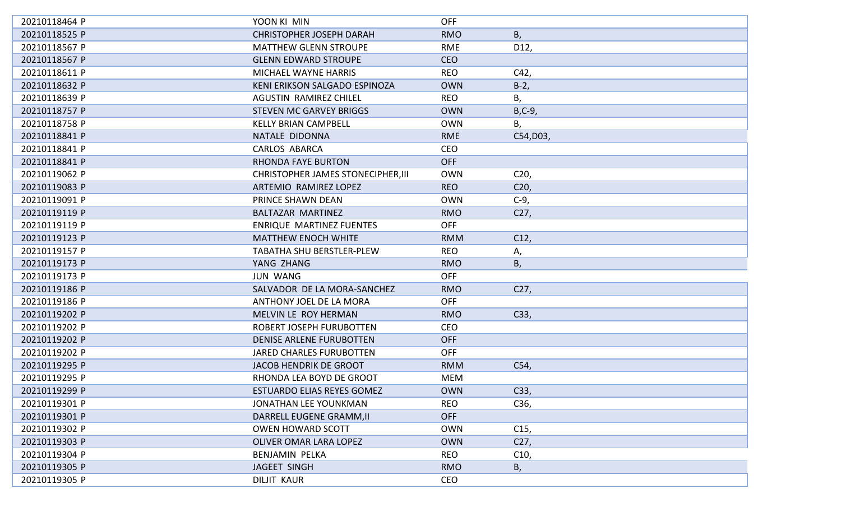| 20210118464 P | YOON KI MIN                               | <b>OFF</b> |                 |
|---------------|-------------------------------------------|------------|-----------------|
| 20210118525 P | <b>CHRISTOPHER JOSEPH DARAH</b>           | <b>RMO</b> | B,              |
| 20210118567 P | <b>MATTHEW GLENN STROUPE</b>              | RME        | D12,            |
| 20210118567 P | <b>GLENN EDWARD STROUPE</b>               | <b>CEO</b> |                 |
| 20210118611 P | MICHAEL WAYNE HARRIS                      | <b>REO</b> | C42,            |
| 20210118632 P | KENI ERIKSON SALGADO ESPINOZA             | <b>OWN</b> | $B-2,$          |
| 20210118639 P | <b>AGUSTIN RAMIREZ CHILEL</b>             | <b>REO</b> | В,              |
| 20210118757 P | <b>STEVEN MC GARVEY BRIGGS</b>            | <b>OWN</b> | $B, C-9,$       |
| 20210118758 P | <b>KELLY BRIAN CAMPBELL</b>               | <b>OWN</b> | Β,              |
| 20210118841 P | NATALE DIDONNA                            | <b>RME</b> | C54, D03,       |
| 20210118841 P | <b>CARLOS ABARCA</b>                      | <b>CEO</b> |                 |
| 20210118841 P | <b>RHONDA FAYE BURTON</b>                 | <b>OFF</b> |                 |
| 20210119062 P | <b>CHRISTOPHER JAMES STONECIPHER, III</b> | <b>OWN</b> | C <sub>20</sub> |
| 20210119083 P | ARTEMIO RAMIREZ LOPEZ                     | <b>REO</b> | C <sub>20</sub> |
| 20210119091 P | PRINCE SHAWN DEAN                         | <b>OWN</b> | $C-9$ ,         |
| 20210119119 P | BALTAZAR MARTINEZ                         | <b>RMO</b> | C27,            |
| 20210119119 P | <b>ENRIQUE MARTINEZ FUENTES</b>           | <b>OFF</b> |                 |
| 20210119123 P | <b>MATTHEW ENOCH WHITE</b>                | <b>RMM</b> | C12,            |
| 20210119157 P | <b>TABATHA SHU BERSTLER-PLEW</b>          | <b>REO</b> | Α,              |
| 20210119173 P | YANG ZHANG                                | <b>RMO</b> | В,              |
| 20210119173 P | <b>JUN WANG</b>                           | <b>OFF</b> |                 |
| 20210119186 P | SALVADOR DE LA MORA-SANCHEZ               | <b>RMO</b> | C27,            |
| 20210119186 P | ANTHONY JOEL DE LA MORA                   | <b>OFF</b> |                 |
| 20210119202 P | MELVIN LE ROY HERMAN                      | <b>RMO</b> | C33,            |
| 20210119202 P | ROBERT JOSEPH FURUBOTTEN                  | <b>CEO</b> |                 |
| 20210119202 P | <b>DENISE ARLENE FURUBOTTEN</b>           | <b>OFF</b> |                 |
| 20210119202 P | <b>JARED CHARLES FURUBOTTEN</b>           | <b>OFF</b> |                 |
| 20210119295 P | <b>JACOB HENDRIK DE GROOT</b>             | <b>RMM</b> | C54,            |
| 20210119295 P | RHONDA LEA BOYD DE GROOT                  | <b>MEM</b> |                 |
| 20210119299 P | ESTUARDO ELIAS REYES GOMEZ                | <b>OWN</b> | C33,            |
| 20210119301 P | JONATHAN LEE YOUNKMAN                     | <b>REO</b> | C36,            |
| 20210119301 P | DARRELL EUGENE GRAMM, II                  | <b>OFF</b> |                 |
| 20210119302 P | <b>OWEN HOWARD SCOTT</b>                  | <b>OWN</b> | C15,            |
| 20210119303 P | OLIVER OMAR LARA LOPEZ                    | <b>OWN</b> | C <sub>27</sub> |
| 20210119304 P | <b>BENJAMIN PELKA</b>                     | <b>REO</b> | C10,            |
| 20210119305 P | JAGEET SINGH                              | <b>RMO</b> | B,              |
| 20210119305 P | <b>DILJIT KAUR</b>                        | CEO        |                 |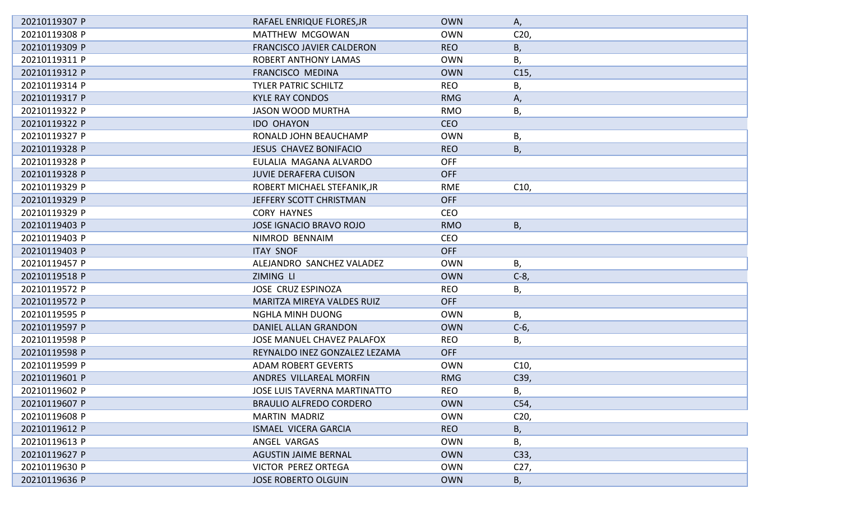| 20210119307 P | RAFAEL ENRIQUE FLORES, JR        | <b>OWN</b> | Α,              |
|---------------|----------------------------------|------------|-----------------|
| 20210119308 P | MATTHEW MCGOWAN                  | <b>OWN</b> | C <sub>20</sub> |
| 20210119309 P | <b>FRANCISCO JAVIER CALDERON</b> | <b>REO</b> | В,              |
| 20210119311 P | <b>ROBERT ANTHONY LAMAS</b>      | <b>OWN</b> | В,              |
| 20210119312 P | FRANCISCO MEDINA                 | <b>OWN</b> | C <sub>15</sub> |
| 20210119314 P | <b>TYLER PATRIC SCHILTZ</b>      | <b>REO</b> | Β,              |
| 20210119317 P | <b>KYLE RAY CONDOS</b>           | <b>RMG</b> | А,              |
| 20210119322 P | <b>JASON WOOD MURTHA</b>         | <b>RMO</b> | В,              |
| 20210119322 P | <b>IDO OHAYON</b>                | <b>CEO</b> |                 |
| 20210119327 P | RONALD JOHN BEAUCHAMP            | <b>OWN</b> | В,              |
| 20210119328 P | <b>JESUS CHAVEZ BONIFACIO</b>    | <b>REO</b> | B,              |
| 20210119328 P | EULALIA MAGANA ALVARDO           | <b>OFF</b> |                 |
| 20210119328 P | <b>JUVIE DERAFERA CUISON</b>     | <b>OFF</b> |                 |
| 20210119329 P | ROBERT MICHAEL STEFANIK, JR      | <b>RME</b> | C10,            |
| 20210119329 P | JEFFERY SCOTT CHRISTMAN          | <b>OFF</b> |                 |
| 20210119329 P | <b>CORY HAYNES</b>               | <b>CEO</b> |                 |
| 20210119403 P | <b>JOSE IGNACIO BRAVO ROJO</b>   | <b>RMO</b> | B,              |
| 20210119403 P | NIMROD BENNAIM                   | <b>CEO</b> |                 |
| 20210119403 P | <b>ITAY SNOF</b>                 | <b>OFF</b> |                 |
| 20210119457 P | ALEJANDRO SANCHEZ VALADEZ        | <b>OWN</b> | В,              |
| 20210119518 P | <b>ZIMING LI</b>                 | <b>OWN</b> | $C-8$           |
| 20210119572 P | JOSE CRUZ ESPINOZA               | <b>REO</b> | Β,              |
| 20210119572 P | MARITZA MIREYA VALDES RUIZ       | <b>OFF</b> |                 |
| 20210119595 P | <b>NGHLA MINH DUONG</b>          | <b>OWN</b> | В,              |
| 20210119597 P | DANIEL ALLAN GRANDON             | <b>OWN</b> | $C-6$ ,         |
| 20210119598 P | JOSE MANUEL CHAVEZ PALAFOX       | <b>REO</b> | В,              |
| 20210119598 P | REYNALDO INEZ GONZALEZ LEZAMA    | <b>OFF</b> |                 |
| 20210119599 P | <b>ADAM ROBERT GEVERTS</b>       | <b>OWN</b> | C10,            |
| 20210119601 P | ANDRES VILLAREAL MORFIN          | <b>RMG</b> | C39,            |
| 20210119602 P | JOSE LUIS TAVERNA MARTINATTO     | <b>REO</b> | Β,              |
| 20210119607 P | <b>BRAULIO ALFREDO CORDERO</b>   | <b>OWN</b> | C54,            |
| 20210119608 P | <b>MARTIN MADRIZ</b>             | <b>OWN</b> | C <sub>20</sub> |
| 20210119612 P | <b>ISMAEL VICERA GARCIA</b>      | <b>REO</b> | В,              |
| 20210119613 P | ANGEL VARGAS                     | <b>OWN</b> | В,              |
| 20210119627 P | <b>AGUSTIN JAIME BERNAL</b>      | <b>OWN</b> | C33,            |
| 20210119630 P | VICTOR PEREZ ORTEGA              | <b>OWN</b> | C <sub>27</sub> |
| 20210119636 P | <b>JOSE ROBERTO OLGUIN</b>       | <b>OWN</b> | В,              |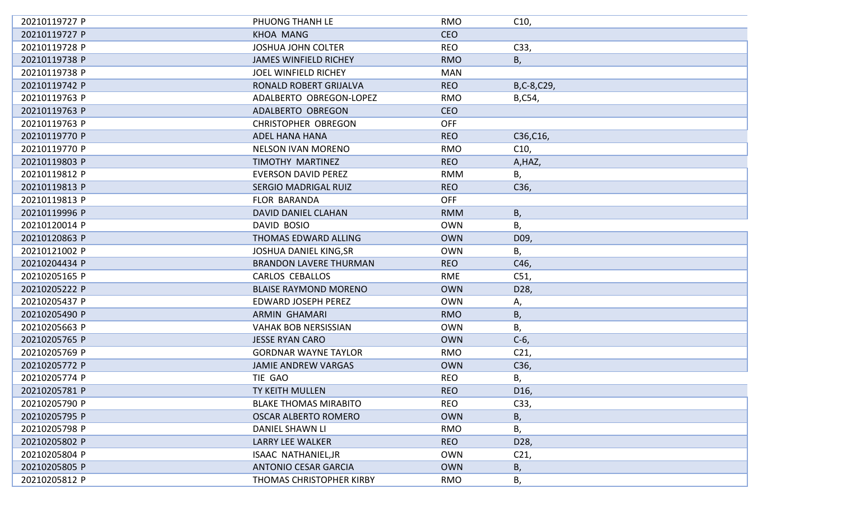| 20210119727 P | PHUONG THANH LE               | <b>RMO</b> | C10,            |
|---------------|-------------------------------|------------|-----------------|
| 20210119727 P | <b>KHOA MANG</b>              | <b>CEO</b> |                 |
| 20210119728 P | <b>JOSHUA JOHN COLTER</b>     | <b>REO</b> | C33,            |
| 20210119738 P | <b>JAMES WINFIELD RICHEY</b>  | <b>RMO</b> | Β,              |
| 20210119738 P | JOEL WINFIELD RICHEY          | <b>MAN</b> |                 |
| 20210119742 P | RONALD ROBERT GRIJALVA        | <b>REO</b> | B,C-8,C29,      |
| 20210119763 P | ADALBERTO OBREGON-LOPEZ       | <b>RMO</b> | B,C54,          |
| 20210119763 P | ADALBERTO OBREGON             | <b>CEO</b> |                 |
| 20210119763 P | <b>CHRISTOPHER OBREGON</b>    | <b>OFF</b> |                 |
| 20210119770 P | <b>ADEL HANA HANA</b>         | <b>REO</b> | C36, C16,       |
| 20210119770 P | <b>NELSON IVAN MORENO</b>     | <b>RMO</b> | C10,            |
| 20210119803 P | TIMOTHY MARTINEZ              | <b>REO</b> | A, HAZ,         |
| 20210119812 P | <b>EVERSON DAVID PEREZ</b>    | <b>RMM</b> | В,              |
| 20210119813 P | SERGIO MADRIGAL RUIZ          | <b>REO</b> | C36,            |
| 20210119813 P | <b>FLOR BARANDA</b>           | <b>OFF</b> |                 |
| 20210119996 P | DAVID DANIEL CLAHAN           | <b>RMM</b> | В,              |
| 20210120014 P | DAVID BOSIO                   | <b>OWN</b> | В,              |
| 20210120863 P | THOMAS EDWARD ALLING          | <b>OWN</b> | D09,            |
| 20210121002 P | <b>JOSHUA DANIEL KING, SR</b> | <b>OWN</b> | В,              |
| 20210204434 P | <b>BRANDON LAVERE THURMAN</b> | <b>REO</b> | C46,            |
| 20210205165 P | <b>CARLOS CEBALLOS</b>        | RME        | C51,            |
| 20210205222 P | <b>BLAISE RAYMOND MORENO</b>  | <b>OWN</b> | D28,            |
| 20210205437 P | <b>EDWARD JOSEPH PEREZ</b>    | <b>OWN</b> | Α,              |
| 20210205490 P | <b>ARMIN GHAMARI</b>          | <b>RMO</b> | Β,              |
| 20210205663 P | <b>VAHAK BOB NERSISSIAN</b>   | <b>OWN</b> | В,              |
| 20210205765 P | <b>JESSE RYAN CARO</b>        | <b>OWN</b> | $C-6$           |
| 20210205769 P | <b>GORDNAR WAYNE TAYLOR</b>   | <b>RMO</b> | C <sub>21</sub> |
| 20210205772 P | <b>JAMIE ANDREW VARGAS</b>    | <b>OWN</b> | C36,            |
| 20210205774 P | TIE GAO                       | <b>REO</b> | В,              |
| 20210205781 P | TY KEITH MULLEN               | <b>REO</b> | D <sub>16</sub> |
| 20210205790 P | <b>BLAKE THOMAS MIRABITO</b>  | <b>REO</b> | C33,            |
| 20210205795 P | <b>OSCAR ALBERTO ROMERO</b>   | <b>OWN</b> | Β,              |
| 20210205798 P | <b>DANIEL SHAWN LI</b>        | <b>RMO</b> | В,              |
| 20210205802 P | LARRY LEE WALKER              | <b>REO</b> | D28,            |
| 20210205804 P | ISAAC NATHANIEL, JR           | <b>OWN</b> | C <sub>21</sub> |
| 20210205805 P | <b>ANTONIO CESAR GARCIA</b>   | <b>OWN</b> | Β,              |
| 20210205812 P | THOMAS CHRISTOPHER KIRBY      | <b>RMO</b> | В,              |